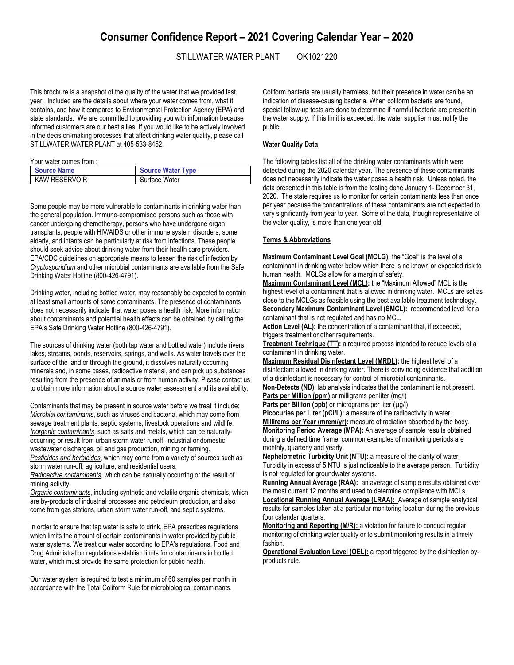# **Consumer Confidence Report – 2021 Covering Calendar Year – 2020**

## STILLWATER WATER PLANT OK1021220

This brochure is a snapshot of the quality of the water that we provided last year. Included are the details about where your water comes from, what it contains, and how it compares to Environmental Protection Agency (EPA) and state standards. We are committed to providing you with information because informed customers are our best allies. If you would like to be actively involved in the decision-making processes that affect drinking water quality, please call STILLWATER WATER PLANT at 405-533-8452.

Your water comes from :

| <b>Source Name</b> | <b>Source Water Type</b> |
|--------------------|--------------------------|
| I KAW RESERVOIR    | Surface Water            |

Some people may be more vulnerable to contaminants in drinking water than the general population. Immuno-compromised persons such as those with cancer undergoing chemotherapy, persons who have undergone organ transplants, people with HIV/AIDS or other immune system disorders, some elderly, and infants can be particularly at risk from infections. These people should seek advice about drinking water from their health care providers. EPA/CDC guidelines on appropriate means to lessen the risk of infection by *Cryptosporidium* and other microbial contaminants are available from the Safe Drinking Water Hotline (800-426-4791).

Drinking water, including bottled water, may reasonably be expected to contain at least small amounts of some contaminants. The presence of contaminants does not necessarily indicate that water poses a health risk. More information about contaminants and potential health effects can be obtained by calling the EPA's Safe Drinking Water Hotline (800-426-4791).

The sources of drinking water (both tap water and bottled water) include rivers, lakes, streams, ponds, reservoirs, springs, and wells. As water travels over the surface of the land or through the ground, it dissolves naturally occurring minerals and, in some cases, radioactive material, and can pick up substances resulting from the presence of animals or from human activity. Please contact us to obtain more information about a source water assessment and its availability.

Contaminants that may be present in source water before we treat it include: *Microbial contaminants*, such as viruses and bacteria, which may come from sewage treatment plants, septic systems, livestock operations and wildlife. *Inorganic contaminants*, such as salts and metals, which can be naturallyoccurring or result from urban storm water runoff, industrial or domestic wastewater discharges, oil and gas production, mining or farming. *Pesticides and herbicides*, which may come from a variety of sources such as storm water run-off, agriculture, and residential users.

*Radioactive contaminants*, which can be naturally occurring or the result of mining activity.

*Organic contaminants*, including synthetic and volatile organic chemicals, which are by-products of industrial processes and petroleum production, and also come from gas stations, urban storm water run-off, and septic systems.

In order to ensure that tap water is safe to drink, EPA prescribes regulations which limits the amount of certain contaminants in water provided by public water systems. We treat our water according to EPA's regulations. Food and Drug Administration regulations establish limits for contaminants in bottled water, which must provide the same protection for public health.

Our water system is required to test a minimum of 60 samples per month in accordance with the Total Coliform Rule for microbiological contaminants.

Coliform bacteria are usually harmless, but their presence in water can be an indication of disease-causing bacteria. When coliform bacteria are found, special follow-up tests are done to determine if harmful bacteria are present in the water supply. If this limit is exceeded, the water supplier must notify the public.

### **Water Quality Data**

The following tables list all of the drinking water contaminants which were detected during the 2020 calendar year. The presence of these contaminants does not necessarily indicate the water poses a health risk. Unless noted, the data presented in this table is from the testing done January 1- December 31, 2020. The state requires us to monitor for certain contaminants less than once per year because the concentrations of these contaminants are not expected to vary significantly from year to year. Some of the data, though representative of the water quality, is more than one year old.

#### **Terms & Abbreviations**

**Maximum Contaminant Level Goal (MCLG):** the "Goal" is the level of a contaminant in drinking water below which there is no known or expected risk to human health. MCLGs allow for a margin of safety.

**Maximum Contaminant Level (MCL):** the "Maximum Allowed" MCL is the highest level of a contaminant that is allowed in drinking water. MCLs are set as close to the MCLGs as feasible using the best available treatment technology. **Secondary Maximum Contaminant Level (SMCL):** recommended level for a

contaminant that is not regulated and has no MCL. Action Level (AL): the concentration of a contaminant that, if exceeded,

triggers treatment or other requirements.

**Treatment Technique (TT):** a required process intended to reduce levels of a contaminant in drinking water.

**Maximum Residual Disinfectant Level (MRDL):** the highest level of a disinfectant allowed in drinking water. There is convincing evidence that addition of a disinfectant is necessary for control of microbial contaminants.

**Non-Detects (ND):** lab analysis indicates that the contaminant is not present. **Parts per Million (ppm)** or milligrams per liter (mg/l)

Parts per Billion (ppb) or micrograms per liter (µg/l)

Picocuries per Liter (pCi/L): a measure of the radioactivity in water. **Millirems per Year (mrem/yr):** measure of radiation absorbed by the body. **Monitoring Period Average (MPA):** An average of sample results obtained during a defined time frame, common examples of monitoring periods are monthly, quarterly and yearly.

**Nephelometric Turbidity Unit (NTU):** a measure of the clarity of water. Turbidity in excess of 5 NTU is just noticeable to the average person. Turbidity is not regulated for groundwater systems.

**Running Annual Average (RAA):** an average of sample results obtained over the most current 12 months and used to determine compliance with MCLs. **Locational Running Annual Average (LRAA):** Average of sample analytical results for samples taken at a particular monitoring location during the previous four calendar quarters.

**Monitoring and Reporting (M/R):** a violation for failure to conduct regular monitoring of drinking water quality or to submit monitoring results in a timely fashion.

**Operational Evaluation Level (OEL):** a report triggered by the disinfection byproducts rule.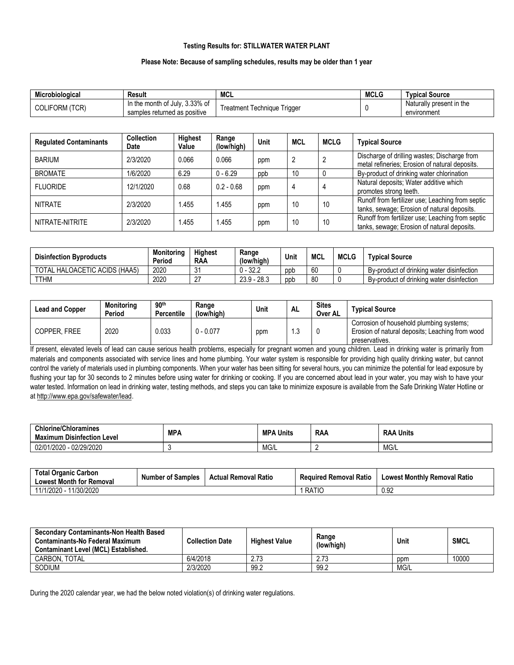### **Testing Results for: STILLWATER WATER PLANT**

#### **Please Note: Because of sampling schedules, results may be older than 1 year**

| Microbiological          | Result                                                                  | <b>MCL</b>                           | <b>MCLG</b> | <b>Typical Source</b>                   |
|--------------------------|-------------------------------------------------------------------------|--------------------------------------|-------------|-----------------------------------------|
| 'TCR)<br><b>COLIFORM</b> | . 3.33% of<br>in the month of<br>∶July.<br>samples returned as positive | l rıggeı<br>l echnique<br>' reatment |             | Naturally present in the<br>environment |

| <b>Regulated Contaminants</b> | <b>Collection</b><br>Date | <b>Highest</b><br>Value | Range<br>(low/high) | Unit | <b>MCL</b> | <b>MCLG</b> | <b>Typical Source</b>                                                                           |
|-------------------------------|---------------------------|-------------------------|---------------------|------|------------|-------------|-------------------------------------------------------------------------------------------------|
| <b>BARIUM</b>                 | 2/3/2020                  | 0.066                   | 0.066               | ppm  | 2          |             | Discharge of drilling wastes; Discharge from<br>metal refineries; Erosion of natural deposits.  |
| <b>BROMATE</b>                | 1/6/2020                  | 6.29                    | $0 - 6.29$          | ppb  | 10         |             | By-product of drinking water chlorination                                                       |
| <b>FLUORIDE</b>               | 12/1/2020                 | 0.68                    | $0.2 - 0.68$        | ppm  | 4          |             | Natural deposits; Water additive which<br>promotes strong teeth.                                |
| <b>NITRATE</b>                | 2/3/2020                  | .455                    | .455                | ppm  | 10         | 10          | Runoff from fertilizer use; Leaching from septic<br>tanks, sewage; Erosion of natural deposits. |
| NITRATE-NITRITE               | 2/3/2020                  | l.455                   | .455                | ppm  | 10         | 10          | Runoff from fertilizer use; Leaching from septic<br>tanks, sewage; Erosion of natural deposits. |

| <b>Disinfection Byproducts</b> | <b>Monitoring</b><br>Period | <b>Highest</b><br><b>RAA</b> | Range<br>(low/high) | Unit | MCL | <b>MCLG</b> | <b>Typical Source</b>                     |
|--------------------------------|-----------------------------|------------------------------|---------------------|------|-----|-------------|-------------------------------------------|
| TOTAL HALOACETIC ACIDS (HAA5)  | 2020                        | η,<br>ັ                      | $0 - 32.2$          | ppp  | 60  |             | By-product of drinking water disinfection |
| <b>TTHM</b>                    | 2020                        | $\sim$                       | $23.9 - 28.3$       | ppp  | 80  |             | By-product of drinking water disinfection |

| <b>Lead and Copper</b> | <b>Monitoring</b><br>Period | 90 <sup>th</sup><br>Percentile | Range<br>(low/high) | Unit | <b>AL</b> | <b>Sites</b><br>Over AL | <b>Typical Source</b>                                                                                         |
|------------------------|-----------------------------|--------------------------------|---------------------|------|-----------|-------------------------|---------------------------------------------------------------------------------------------------------------|
| COPPER. FREE           | 2020                        | 0.033                          | $0 - 0.077$         | ppm  | ں. ا      |                         | Corrosion of household plumbing systems;<br>Erosion of natural deposits; Leaching from wood<br>preservatives. |

If present, elevated levels of lead can cause serious health problems, especially for pregnant women and young children. Lead in drinking water is primarily from materials and components associated with service lines and home plumbing. Your water system is responsible for providing high quality drinking water, but cannot control the variety of materials used in plumbing components. When your water has been sitting for several hours, you can minimize the potential for lead exposure by flushing your tap for 30 seconds to 2 minutes before using water for drinking or cooking. If you are concerned about lead in your water, you may wish to have your water tested. Information on lead in drinking water, testing methods, and steps you can take to minimize exposure is available from the Safe Drinking Water Hotline or a[t http://www.epa.gov/safewater/lead.](http://www.epa.gov/safewater/lead)

| Chlorine/Chloramines<br>Level<br>ı Disinfection<br>Maximum | <b>MPA</b> | <b>MPA</b><br>∖ Units | <b>RAA</b> | Units<br><b>RAA</b> |
|------------------------------------------------------------|------------|-----------------------|------------|---------------------|
| 02/29/2020<br>1/2020<br>02/0                               |            | MG/L                  |            | MG/L                |

| <b>Total Organic Carbon</b><br><b>Lowest Month for Removal</b> | <b>Number of Samples</b> | <b>Actual Removal Ratio</b> | <b>Required Removal Ratio</b> | <b>Lowest Monthly Removal Ratio</b> |
|----------------------------------------------------------------|--------------------------|-----------------------------|-------------------------------|-------------------------------------|
| 11/30/2020<br>11/1/2020 -                                      |                          |                             | RATIC                         | 0.92                                |

| <b>Secondary Contaminants-Non Health Based</b><br><b>Contaminants-No Federal Maximum</b><br><b>Contaminant Level (MCL) Established.</b> | <b>Collection Date</b> | <b>Highest Value</b> | Range<br>(low/high) | Unit | <b>SMCL</b> |
|-----------------------------------------------------------------------------------------------------------------------------------------|------------------------|----------------------|---------------------|------|-------------|
| CARBON. TOTAL                                                                                                                           | 6/4/2018               | 0.70<br>د ، ، ،      | 2.73                | ppm  | 10000       |
| SODIUM                                                                                                                                  | 2/3/2020               | 99.2                 | 99.2                | MG/L |             |

During the 2020 calendar year, we had the below noted violation(s) of drinking water regulations.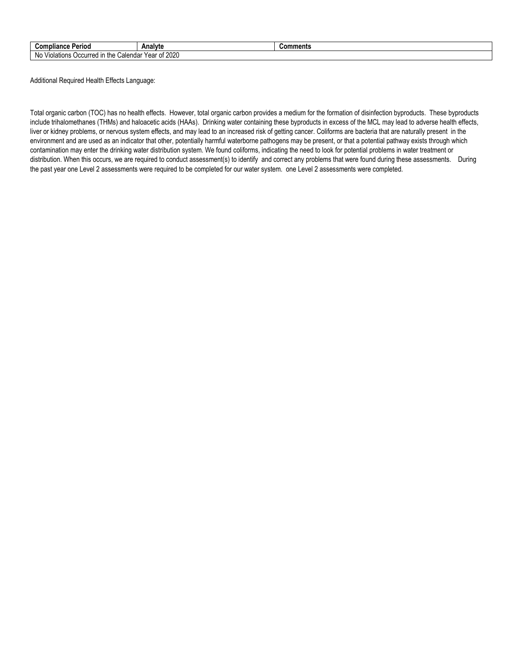| Compliance<br>Period                                       | Analyte                       | Comments |
|------------------------------------------------------------|-------------------------------|----------|
| <br>N0<br>the<br>alendarٽ<br><b>Occurred</b><br>/iolations | 2020<br>∵Year<br>$\sim$<br>νı |          |

Additional Required Health Effects Language:

Total organic carbon (TOC) has no health effects. However, total organic carbon provides a medium for the formation of disinfection byproducts. These byproducts include trihalomethanes (THMs) and haloacetic acids (HAAs). Drinking water containing these byproducts in excess of the MCL may lead to adverse health effects, liver or kidney problems, or nervous system effects, and may lead to an increased risk of getting cancer. Coliforms are bacteria that are naturally present in the environment and are used as an indicator that other, potentially harmful waterborne pathogens may be present, or that a potential pathway exists through which contamination may enter the drinking water distribution system. We found coliforms, indicating the need to look for potential problems in water treatment or distribution. When this occurs, we are required to conduct assessment(s) to identify and correct any problems that were found during these assessments. During the past year one Level 2 assessments were required to be completed for our water system. one Level 2 assessments were completed.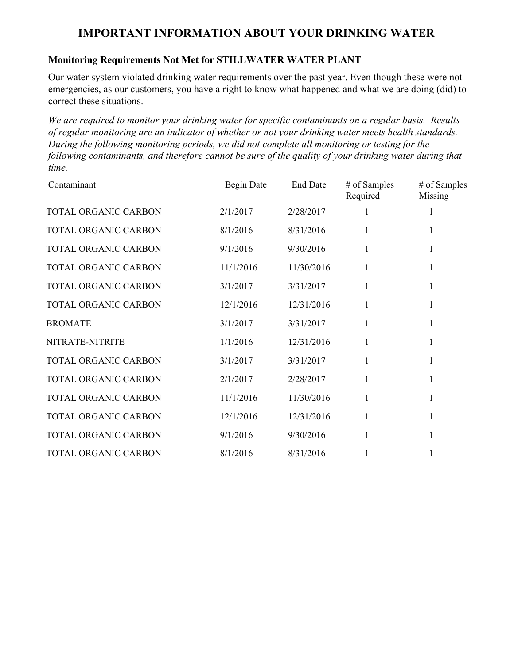# **IMPORTANT INFORMATION ABOUT YOUR DRINKING WATER**

# **Monitoring Requirements Not Met for STILLWATER WATER PLANT**

Our water system violated drinking water requirements over the past year. Even though these were not emergencies, as our customers, you have a right to know what happened and what we are doing (did) to correct these situations.

*We are required to monitor your drinking water for specific contaminants on a regular basis. Results of regular monitoring are an indicator of whether or not your drinking water meets health standards. During the following monitoring periods, we did not complete all monitoring or testing for the following contaminants, and therefore cannot be sure of the quality of your drinking water during that time.*

| Contaminant                 | <b>Begin Date</b> | <b>End Date</b> | $#$ of Samples<br><b>Required</b> | # of Samples<br>Missing |
|-----------------------------|-------------------|-----------------|-----------------------------------|-------------------------|
| <b>TOTAL ORGANIC CARBON</b> | 2/1/2017          | 2/28/2017       |                                   | 1                       |
| <b>TOTAL ORGANIC CARBON</b> | 8/1/2016          | 8/31/2016       |                                   |                         |
| <b>TOTAL ORGANIC CARBON</b> | 9/1/2016          | 9/30/2016       | 1                                 | 1                       |
| TOTAL ORGANIC CARBON        | 11/1/2016         | 11/30/2016      |                                   |                         |
| <b>TOTAL ORGANIC CARBON</b> | 3/1/2017          | 3/31/2017       | 1                                 | 1                       |
| TOTAL ORGANIC CARBON        | 12/1/2016         | 12/31/2016      |                                   |                         |
| <b>BROMATE</b>              | 3/1/2017          | 3/31/2017       |                                   | 1                       |
| NITRATE-NITRITE             | 1/1/2016          | 12/31/2016      |                                   |                         |
| TOTAL ORGANIC CARBON        | 3/1/2017          | 3/31/2017       |                                   | 1                       |
| TOTAL ORGANIC CARBON        | 2/1/2017          | 2/28/2017       |                                   | 1                       |
| TOTAL ORGANIC CARBON        | 11/1/2016         | 11/30/2016      | 1                                 | 1                       |
| TOTAL ORGANIC CARBON        | 12/1/2016         | 12/31/2016      |                                   | 1                       |
| TOTAL ORGANIC CARBON        | 9/1/2016          | 9/30/2016       | 1                                 |                         |
| TOTAL ORGANIC CARBON        | 8/1/2016          | 8/31/2016       |                                   |                         |